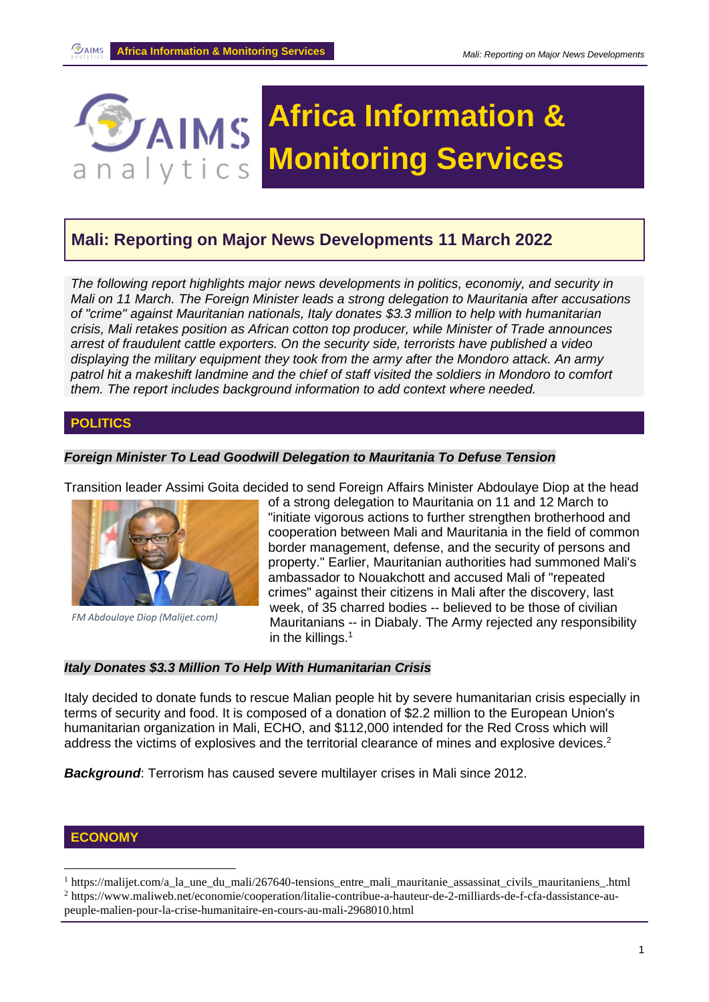

# **Mali: Reporting on Major News Developments 11 March 2022**

*The following report highlights major news developments in politics, economiy, and security in Mali on 11 March. The Foreign Minister leads a strong delegation to Mauritania after accusations of "crime" against Mauritanian nationals, Italy donates \$3.3 million to help with humanitarian crisis, Mali retakes position as African cotton top producer, while Minister of Trade announces arrest of fraudulent cattle exporters. On the security side, terrorists have published a video displaying the military equipment they took from the army after the Mondoro attack. An army patrol hit a makeshift landmine and the chief of staff visited the soldiers in Mondoro to comfort them. The report includes background information to add context where needed.*

### **POLITICS**

#### *Foreign Minister To Lead Goodwill Delegation to Mauritania To Defuse Tension*

Transition leader Assimi Goita decided to send Foreign Affairs Minister Abdoulaye Diop at the head



*FM Abdoulaye Diop (Malijet.com)*

of a strong delegation to Mauritania on 11 and 12 March to "initiate vigorous actions to further strengthen brotherhood and cooperation between Mali and Mauritania in the field of common border management, defense, and the security of persons and property." Earlier, Mauritanian authorities had summoned Mali's ambassador to Nouakchott and accused Mali of "repeated crimes" against their citizens in Mali after the discovery, last week, of 35 charred bodies -- believed to be those of civilian Mauritanians -- in Diabaly. The Army rejected any responsibility in the killings. $1$ 

#### *Italy Donates \$3.3 Million To Help With Humanitarian Crisis*

Italy decided to donate funds to rescue Malian people hit by severe humanitarian crisis especially in terms of security and food. It is composed of a donation of \$2.2 million to the European Union's humanitarian organization in Mali, ECHO, and \$112,000 intended for the Red Cross which will address the victims of explosives and the territorial clearance of mines and explosive devices.<sup>2</sup>

*Background*: Terrorism has caused severe multilayer crises in Mali since 2012.

#### **ECONOMY**

<sup>&</sup>lt;sup>1</sup> https://malijet.com/a la une du mali/267640-tensions entre mali mauritanie assassinat civils mauritaniens .html <sup>2</sup> https://www.maliweb.net/economie/cooperation/litalie-contribue-a-hauteur-de-2-milliards-de-f-cfa-dassistance-aupeuple-malien-pour-la-crise-humanitaire-en-cours-au-mali-2968010.html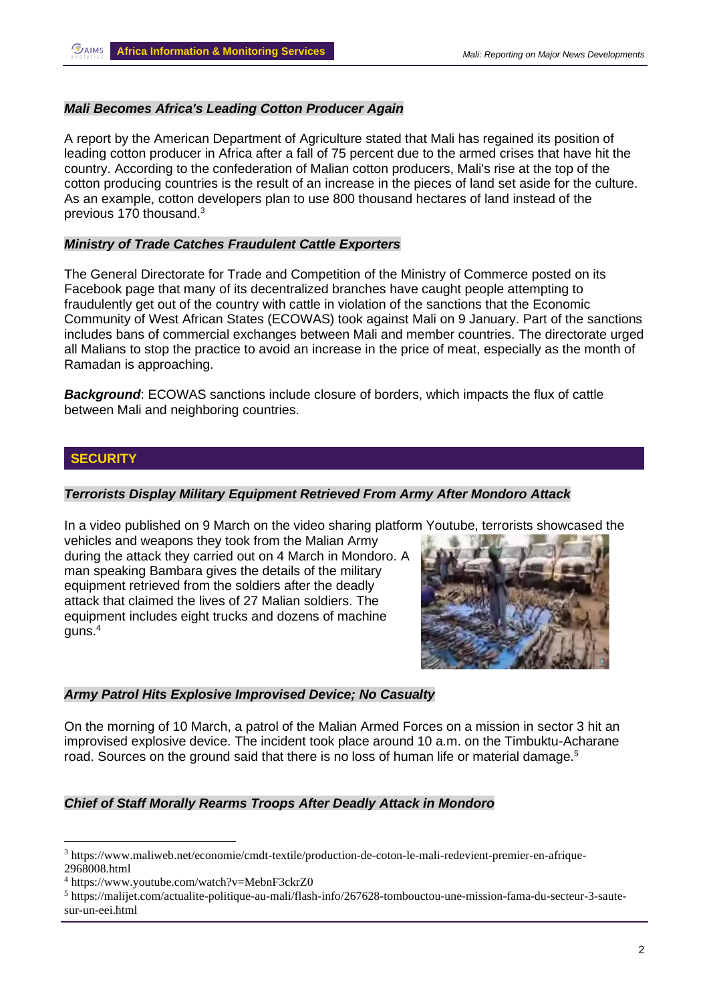# *Mali Becomes Africa's Leading Cotton Producer Again*

A report by the American Department of Agriculture stated that Mali has regained its position of leading cotton producer in Africa after a fall of 75 percent due to the armed crises that have hit the country. According to the confederation of Malian cotton producers, Mali's rise at the top of the cotton producing countries is the result of an increase in the pieces of land set aside for the culture. As an example, cotton developers plan to use 800 thousand hectares of land instead of the previous 170 thousand.<sup>3</sup>

### *Ministry of Trade Catches Fraudulent Cattle Exporters*

The General Directorate for Trade and Competition of the Ministry of Commerce posted on its Facebook page that many of its decentralized branches have caught people attempting to fraudulently get out of the country with cattle in violation of the sanctions that the Economic Community of West African States (ECOWAS) took against Mali on 9 January. Part of the sanctions includes bans of commercial exchanges between Mali and member countries. The directorate urged all Malians to stop the practice to avoid an increase in the price of meat, especially as the month of Ramadan is approaching.

**Background:** ECOWAS sanctions include closure of borders, which impacts the flux of cattle between Mali and neighboring countries.

# **SECURITY**

#### *Terrorists Display Military Equipment Retrieved From Army After Mondoro Attack*

In a video published on 9 March on the video sharing platform Youtube, terrorists showcased the

vehicles and weapons they took from the Malian Army during the attack they carried out on 4 March in Mondoro. A man speaking Bambara gives the details of the military equipment retrieved from the soldiers after the deadly attack that claimed the lives of 27 Malian soldiers. The equipment includes eight trucks and dozens of machine guns. 4



# *Army Patrol Hits Explosive Improvised Device; No Casualty*

On the morning of 10 March, a patrol of the Malian Armed Forces on a mission in sector 3 hit an improvised explosive device. The incident took place around 10 a.m. on the Timbuktu-Acharane road. Sources on the ground said that there is no loss of human life or material damage.<sup>5</sup>

# *Chief of Staff Morally Rearms Troops After Deadly Attack in Mondoro*

<sup>3</sup> https://www.maliweb.net/economie/cmdt-textile/production-de-coton-le-mali-redevient-premier-en-afrique-2968008.html

<sup>4</sup> <https://www.youtube.com/watch?v=MebnF3ckrZ0>

<sup>5</sup> https://malijet.com/actualite-politique-au-mali/flash-info/267628-tombouctou-une-mission-fama-du-secteur-3-sautesur-un-eei.html